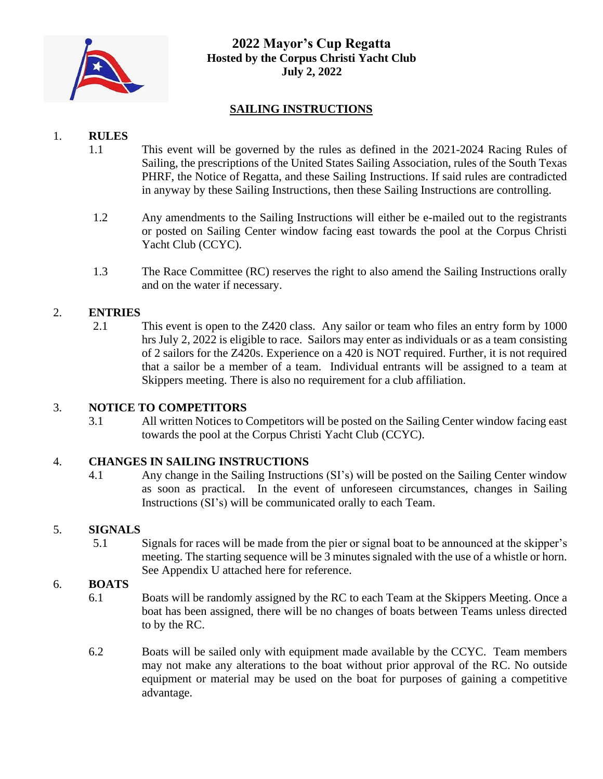

# **2022 Mayor's Cup Regatta Hosted by the Corpus Christi Yacht Club July 2, 2022**

# **SAILING INSTRUCTIONS**

# 1. **RULES**

- 1.1 This event will be governed by the rules as defined in the 2021-2024 Racing Rules of Sailing, the prescriptions of the United States Sailing Association, rules of the South Texas PHRF, the Notice of Regatta, and these Sailing Instructions. If said rules are contradicted in anyway by these Sailing Instructions, then these Sailing Instructions are controlling.
- 1.2 Any amendments to the Sailing Instructions will either be e-mailed out to the registrants or posted on Sailing Center window facing east towards the pool at the Corpus Christi Yacht Club (CCYC).
- 1.3 The Race Committee (RC) reserves the right to also amend the Sailing Instructions orally and on the water if necessary.

# 2. **ENTRIES**

2.1 This event is open to the Z420 class. Any sailor or team who files an entry form by 1000 hrs July 2, 2022 is eligible to race. Sailors may enter as individuals or as a team consisting of 2 sailors for the Z420s. Experience on a 420 is NOT required. Further, it is not required that a sailor be a member of a team. Individual entrants will be assigned to a team at Skippers meeting. There is also no requirement for a club affiliation.

### 3. **NOTICE TO COMPETITORS**

3.1 All written Notices to Competitors will be posted on the Sailing Center window facing east towards the pool at the Corpus Christi Yacht Club (CCYC).

### 4. **CHANGES IN SAILING INSTRUCTIONS**

4.1 Any change in the Sailing Instructions (SI's) will be posted on the Sailing Center window as soon as practical. In the event of unforeseen circumstances, changes in Sailing Instructions (SI's) will be communicated orally to each Team.

### 5. **SIGNALS**

5.1 Signals for races will be made from the pier or signal boat to be announced at the skipper's meeting. The starting sequence will be 3 minutes signaled with the use of a whistle or horn. See Appendix U attached here for reference.

### 6. **BOATS**

- 6.1 Boats will be randomly assigned by the RC to each Team at the Skippers Meeting. Once a boat has been assigned, there will be no changes of boats between Teams unless directed to by the RC.
- 6.2 Boats will be sailed only with equipment made available by the CCYC. Team members may not make any alterations to the boat without prior approval of the RC. No outside equipment or material may be used on the boat for purposes of gaining a competitive advantage.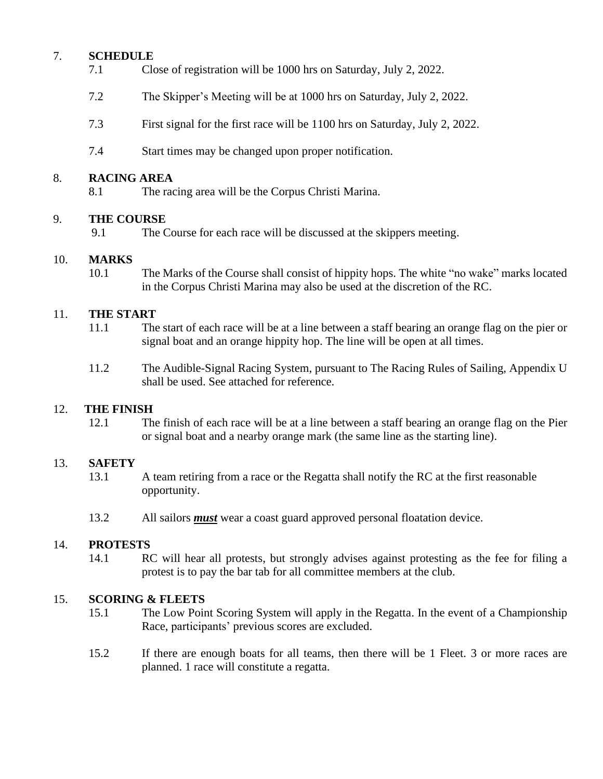# 7. **SCHEDULE**

- 7.1 Close of registration will be 1000 hrs on Saturday, July 2, 2022.
- 7.2 The Skipper's Meeting will be at 1000 hrs on Saturday, July 2, 2022.
- 7.3 First signal for the first race will be 1100 hrs on Saturday, July 2, 2022.
- 7.4 Start times may be changed upon proper notification.

### 8. **RACING AREA**

8.1 The racing area will be the Corpus Christi Marina.

#### 9. **THE COURSE**

9.1 The Course for each race will be discussed at the skippers meeting.

### 10. **MARKS**

10.1 The Marks of the Course shall consist of hippity hops. The white "no wake" marks located in the Corpus Christi Marina may also be used at the discretion of the RC.

### 11. **THE START**

- 11.1 The start of each race will be at a line between a staff bearing an orange flag on the pier or signal boat and an orange hippity hop. The line will be open at all times.
- 11.2 The Audible-Signal Racing System, pursuant to The Racing Rules of Sailing, Appendix U shall be used. See attached for reference.

#### 12. **THE FINISH**

12.1 The finish of each race will be at a line between a staff bearing an orange flag on the Pier or signal boat and a nearby orange mark (the same line as the starting line).

#### 13. **SAFETY**

- 13.1 A team retiring from a race or the Regatta shall notify the RC at the first reasonable opportunity.
- 13.2 All sailors *must* wear a coast guard approved personal floatation device.

#### 14. **PROTESTS**

14.1 RC will hear all protests, but strongly advises against protesting as the fee for filing a protest is to pay the bar tab for all committee members at the club.

#### 15. **SCORING & FLEETS**

- 15.1 The Low Point Scoring System will apply in the Regatta. In the event of a Championship Race, participants' previous scores are excluded.
- 15.2 If there are enough boats for all teams, then there will be 1 Fleet. 3 or more races are planned. 1 race will constitute a regatta.